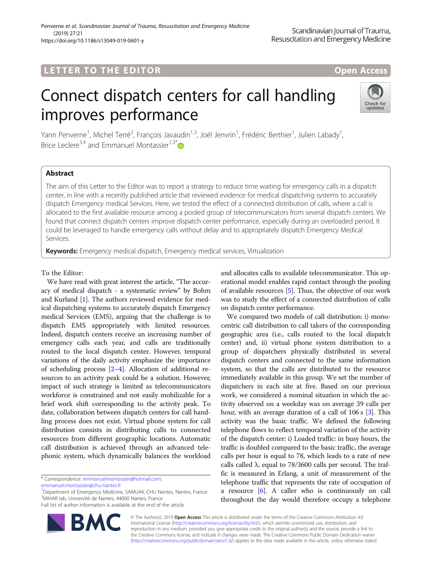## LETTER TO THE EDITOR **CONSIDERATION**

# Connect dispatch centers for call handling improves performance



Yann Penverne<sup>1</sup>, Michel Terré<sup>2</sup>, François Javaudin<sup>1,3</sup>, Joël Jenvrin<sup>1</sup>, Frédéric Berthier<sup>1</sup>, Julien Labady<sup>1</sup> , Brice Leclere<sup>3,4</sup> and Emmanuel Montassier<sup>1,3\*</sup>

### Abstract

The aim of this Letter to the Editor was to report a strategy to reduce time waiting for emergency calls in a dispatch center, in line with a recently published article that reviewed evidence for medical dispatching systems to accurately dispatch Emergency medical Services. Here, we tested the effect of a connected distribution of calls, where a call is allocated to the first available resource among a pooled group of telecommunicators from several dispatch centers. We found that connect dispatch centers improve dispatch center performance, especially during an overloaded period. It could be leveraged to handle emergency calls without delay and to appropriately dispatch Emergency Medical Services.

Keywords: Emergency medical dispatch, Emergency medical services, Virtualization

#### To the Editor:

We have read with great interest the article, "The accuracy of medical dispatch - a systematic review" by Bohm and Kurland [\[1](#page-1-0)]. The authors reviewed evidence for medical dispatching systems to accurately dispatch Emergency medical Services (EMS), arguing that the challenge is to dispatch EMS appropriately with limited resources. Indeed, dispatch centers receive an increasing number of emergency calls each year, and calls are traditionally routed to the local dispatch center. However, temporal variations of the daily activity emphasize the importance of scheduling process [[2](#page-1-0)–[4](#page-1-0)]. Allocation of additional resources to an activity peak could be a solution. However, impact of such strategy is limited as telecommunicators workforce is constrained and not easily mobilizable for a brief work shift corresponding to the activity peak. To date, collaboration between dispatch centers for call handling process does not exist. Virtual phone system for call distribution consists in distributing calls to connected resources from different geographic locations. Automatic call distribution is achieved through an advanced telephonic system, which dynamically balances the workload

\* Correspondence: [emmanuelmontassier@hotmail.com](mailto:emmanuelmontassier@hotmail.com);

[emmanuel.montassier@chu-nantes.fr](mailto:emmanuel.montassier@chu-nantes.fr)

<sup>1</sup>Department of Emergency Medicine, SAMU44, CHU Nantes, Nantes, France 3 MiHAR lab, Université de Nantes, 44000 Nantes, France Full list of author information is available at the end of the article

and allocates calls to available telecommunicator. This operational model enables rapid contact through the pooling of available resources [[5\]](#page-1-0). Thus, the objective of our work was to study the effect of a connected distribution of calls on dispatch center performance.

We compared two models of call distribution: i) monocentric call distribution to call takers of the corresponding geographic area (i.e., calls routed to the local dispatch center) and, ii) virtual phone system distribution to a group of dispatchers physically distributed in several dispatch centers and connected to the same information system, so that the calls are distributed to the resource immediately available in this group. We set the number of dispatchers in each site at five. Based on our previous work, we considered a nominal situation in which the activity observed on a weekday was on average 39 calls per hour, with an average duration of a call of 106 s [\[3](#page-1-0)]. This activity was the basic traffic. We defined the following telephone flows to reflect temporal variation of the activity of the dispatch center: i) Loaded traffic: in busy hours, the traffic is doubled compared to the basic traffic, the average calls per hour is equal to 78, which leads to a rate of new calls called λ, equal to  $78/3600$  calls per second. The traffic is measured in Erlang, a unit of measurement of the telephone traffic that represents the rate of occupation of a resource [[6](#page-1-0)]. A caller who is continuously on call throughout the day would therefore occupy a telephone

© The Author(s). 2019 Open Access This article is distributed under the terms of the Creative Commons Attribution 4.0 International License [\(http://creativecommons.org/licenses/by/4.0/](http://creativecommons.org/licenses/by/4.0/)), which permits unrestricted use, distribution, and reproduction in any medium, provided you give appropriate credit to the original author(s) and the source, provide a link to the Creative Commons license, and indicate if changes were made. The Creative Commons Public Domain Dedication waiver [\(http://creativecommons.org/publicdomain/zero/1.0/](http://creativecommons.org/publicdomain/zero/1.0/)) applies to the data made available in this article, unless otherwise stated.

**BM**